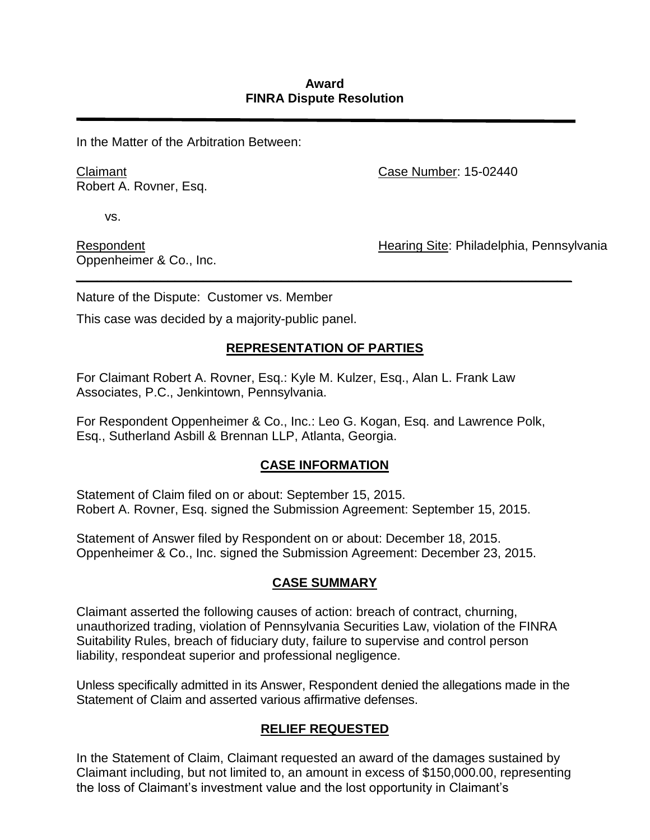#### **Award FINRA Dispute Resolution**

In the Matter of the Arbitration Between:

Claimant Robert A. Rovner, Esq. Case Number: 15-02440

vs.

Respondent Oppenheimer & Co., Inc. Hearing Site: Philadelphia, Pennsylvania

Nature of the Dispute: Customer vs. Member

This case was decided by a majority-public panel.

## **REPRESENTATION OF PARTIES**

*\_\_\_\_\_\_\_\_\_\_\_\_\_\_\_\_\_\_\_\_\_\_\_\_\_\_\_\_\_\_\_\_\_\_\_\_\_\_\_\_\_\_\_\_\_\_\_\_\_\_\_\_\_\_\_\_\_\_\_\_\_\_\_\_\_\_\_\_\_\_*

For Claimant Robert A. Rovner, Esq.: Kyle M. Kulzer, Esq., Alan L. Frank Law Associates, P.C., Jenkintown, Pennsylvania.

For Respondent Oppenheimer & Co., Inc.: Leo G. Kogan, Esq. and Lawrence Polk, Esq., Sutherland Asbill & Brennan LLP, Atlanta, Georgia.

## **CASE INFORMATION**

Statement of Claim filed on or about: September 15, 2015. Robert A. Rovner, Esq. signed the Submission Agreement: September 15, 2015.

Statement of Answer filed by Respondent on or about: December 18, 2015. Oppenheimer & Co., Inc. signed the Submission Agreement: December 23, 2015.

## **CASE SUMMARY**

Claimant asserted the following causes of action: breach of contract, churning, unauthorized trading, violation of Pennsylvania Securities Law, violation of the FINRA Suitability Rules, breach of fiduciary duty, failure to supervise and control person liability, respondeat superior and professional negligence.

Unless specifically admitted in its Answer, Respondent denied the allegations made in the Statement of Claim and asserted various affirmative defenses.

# **RELIEF REQUESTED**

In the Statement of Claim, Claimant requested an award of the damages sustained by Claimant including, but not limited to, an amount in excess of \$150,000.00, representing the loss of Claimant's investment value and the lost opportunity in Claimant's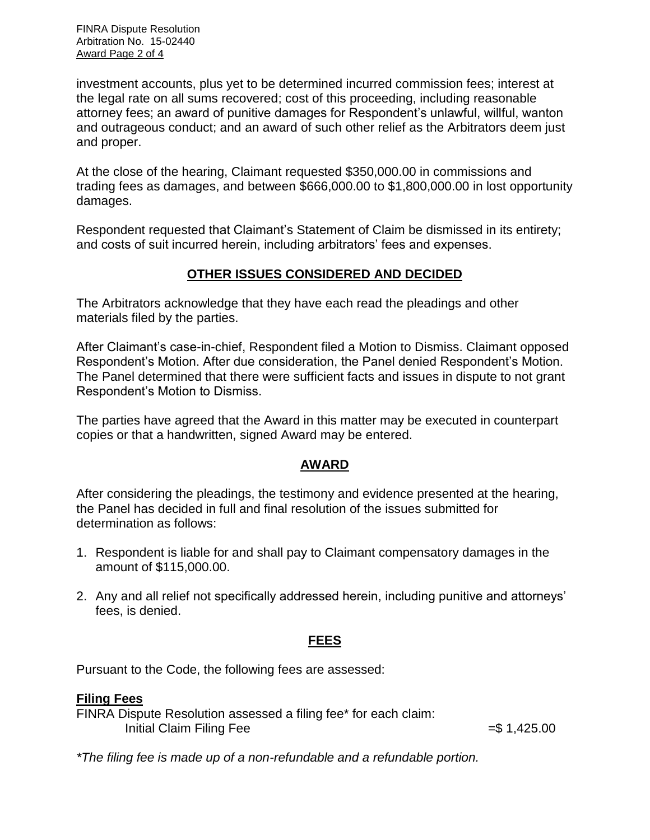FINRA Dispute Resolution Arbitration No. 15-02440 Award Page 2 of 4

investment accounts, plus yet to be determined incurred commission fees; interest at the legal rate on all sums recovered; cost of this proceeding, including reasonable attorney fees; an award of punitive damages for Respondent's unlawful, willful, wanton and outrageous conduct; and an award of such other relief as the Arbitrators deem just and proper.

At the close of the hearing, Claimant requested \$350,000.00 in commissions and trading fees as damages, and between \$666,000.00 to \$1,800,000.00 in lost opportunity damages.

Respondent requested that Claimant's Statement of Claim be dismissed in its entirety; and costs of suit incurred herein, including arbitrators' fees and expenses.

# **OTHER ISSUES CONSIDERED AND DECIDED**

The Arbitrators acknowledge that they have each read the pleadings and other materials filed by the parties.

After Claimant's case-in-chief, Respondent filed a Motion to Dismiss. Claimant opposed Respondent's Motion. After due consideration, the Panel denied Respondent's Motion. The Panel determined that there were sufficient facts and issues in dispute to not grant Respondent's Motion to Dismiss.

The parties have agreed that the Award in this matter may be executed in counterpart copies or that a handwritten, signed Award may be entered.

## **AWARD**

After considering the pleadings, the testimony and evidence presented at the hearing, the Panel has decided in full and final resolution of the issues submitted for determination as follows:

- 1. Respondent is liable for and shall pay to Claimant compensatory damages in the amount of \$115,000.00.
- 2. Any and all relief not specifically addressed herein, including punitive and attorneys' fees, is denied.

# **FEES**

Pursuant to the Code, the following fees are assessed:

## **Filing Fees**

FINRA Dispute Resolution assessed a filing fee\* for each claim: Initial Claim Filing Fee  $= $ 1,425.00$ 

*\*The filing fee is made up of a non-refundable and a refundable portion.*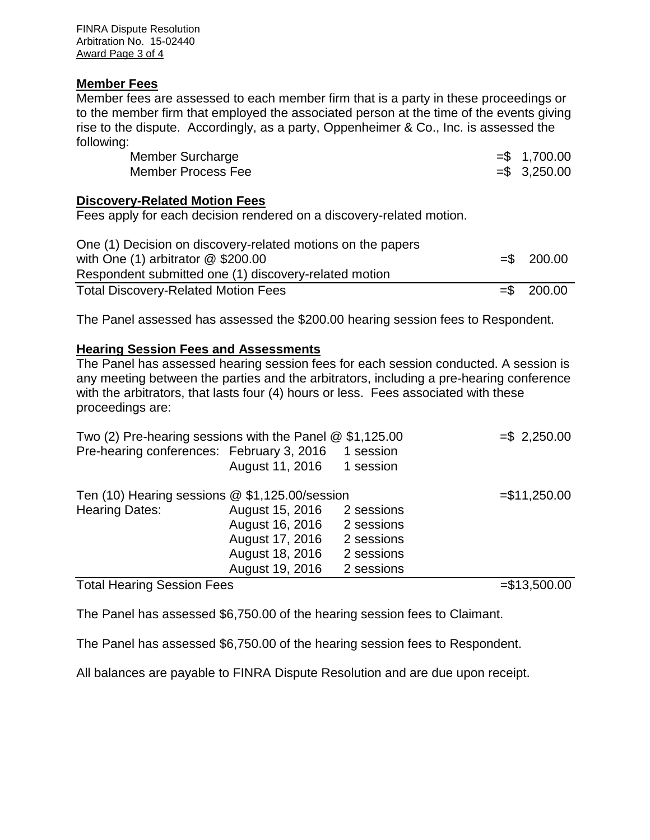FINRA Dispute Resolution Arbitration No. 15-02440 Award Page 3 of 4

#### **Member Fees**

Member fees are assessed to each member firm that is a party in these proceedings or to the member firm that employed the associated person at the time of the events giving rise to the dispute. Accordingly, as a party, Oppenheimer & Co., Inc. is assessed the following:

| Member Surcharge   | $= $ 1,700.00$  |
|--------------------|-----------------|
| Member Process Fee | $=$ \$ 3,250.00 |

#### **Discovery-Related Motion Fees**

Fees apply for each decision rendered on a discovery-related motion.

| One (1) Decision on discovery-related motions on the papers<br>with One $(1)$ arbitrator $@$ \$200.00<br>Respondent submitted one (1) discovery-related motion | $=$ \$ 200.00 |
|----------------------------------------------------------------------------------------------------------------------------------------------------------------|---------------|
| <b>Total Discovery-Related Motion Fees</b>                                                                                                                     | $=$ \$ 200.00 |

The Panel assessed has assessed the \$200.00 hearing session fees to Respondent.

## **Hearing Session Fees and Assessments**

The Panel has assessed hearing session fees for each session conducted. A session is any meeting between the parties and the arbitrators, including a pre-hearing conference with the arbitrators, that lasts four (4) hours or less. Fees associated with these proceedings are:

| Two (2) Pre-hearing sessions with the Panel $@$ \$1,125.00 |                 |                | $= $ 2,250.00$ |
|------------------------------------------------------------|-----------------|----------------|----------------|
| Pre-hearing conferences: February 3, 2016                  |                 | 1 session      |                |
|                                                            | August 11, 2016 | 1 session      |                |
| Ten (10) Hearing sessions @ \$1,125.00/session             |                 | $= $11,250.00$ |                |
| <b>Hearing Dates:</b>                                      | August 15, 2016 | 2 sessions     |                |
|                                                            | August 16, 2016 | 2 sessions     |                |
|                                                            | August 17, 2016 | 2 sessions     |                |
|                                                            | August 18, 2016 | 2 sessions     |                |
|                                                            | August 19, 2016 | 2 sessions     |                |
| <b>Total Hearing Session Fees</b>                          |                 |                | $= $13,500.00$ |

The Panel has assessed \$6,750.00 of the hearing session fees to Claimant.

The Panel has assessed \$6,750.00 of the hearing session fees to Respondent.

All balances are payable to FINRA Dispute Resolution and are due upon receipt.